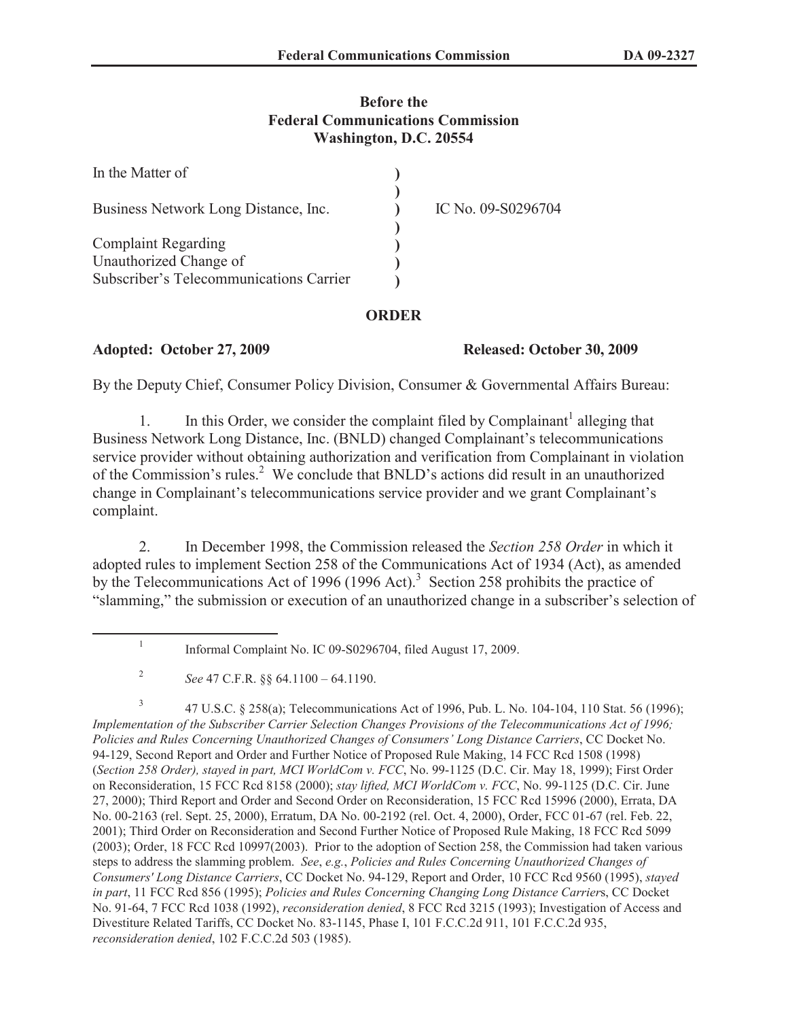## **Before the Federal Communications Commission Washington, D.C. 20554**

| In the Matter of                                     |                    |
|------------------------------------------------------|--------------------|
| Business Network Long Distance, Inc.                 | IC No. 09-S0296704 |
| <b>Complaint Regarding</b><br>Unauthorized Change of |                    |
| Subscriber's Telecommunications Carrier              |                    |

## **ORDER**

## **Adopted: October 27, 2009 Released: October 30, 2009**

By the Deputy Chief, Consumer Policy Division, Consumer & Governmental Affairs Bureau:

1. In this Order, we consider the complaint filed by Complainant<sup>1</sup> alleging that Business Network Long Distance, Inc. (BNLD) changed Complainant's telecommunications service provider without obtaining authorization and verification from Complainant in violation of the Commission's rules.<sup>2</sup> We conclude that BNLD's actions did result in an unauthorized change in Complainant's telecommunications service provider and we grant Complainant's complaint.

2. In December 1998, the Commission released the *Section 258 Order* in which it adopted rules to implement Section 258 of the Communications Act of 1934 (Act), as amended by the Telecommunications Act of 1996 (1996 Act).<sup>3</sup> Section 258 prohibits the practice of "slamming," the submission or execution of an unauthorized change in a subscriber's selection of

3 47 U.S.C. § 258(a); Telecommunications Act of 1996, Pub. L. No. 104-104, 110 Stat. 56 (1996); *Implementation of the Subscriber Carrier Selection Changes Provisions of the Telecommunications Act of 1996; Policies and Rules Concerning Unauthorized Changes of Consumers' Long Distance Carriers*, CC Docket No. 94-129, Second Report and Order and Further Notice of Proposed Rule Making, 14 FCC Rcd 1508 (1998) (*Section 258 Order), stayed in part, MCI WorldCom v. FCC*, No. 99-1125 (D.C. Cir. May 18, 1999); First Order on Reconsideration, 15 FCC Rcd 8158 (2000); *stay lifted, MCI WorldCom v. FCC*, No. 99-1125 (D.C. Cir. June 27, 2000); Third Report and Order and Second Order on Reconsideration, 15 FCC Rcd 15996 (2000), Errata, DA No. 00-2163 (rel. Sept. 25, 2000), Erratum, DA No. 00-2192 (rel. Oct. 4, 2000), Order, FCC 01-67 (rel. Feb. 22, 2001); Third Order on Reconsideration and Second Further Notice of Proposed Rule Making, 18 FCC Rcd 5099 (2003); Order, 18 FCC Rcd 10997(2003). Prior to the adoption of Section 258, the Commission had taken various steps to address the slamming problem. *See*, *e.g.*, *Policies and Rules Concerning Unauthorized Changes of Consumers' Long Distance Carriers*, CC Docket No. 94-129, Report and Order, 10 FCC Rcd 9560 (1995), *stayed in part*, 11 FCC Rcd 856 (1995); *Policies and Rules Concerning Changing Long Distance Carrier*s, CC Docket No. 91-64, 7 FCC Rcd 1038 (1992), *reconsideration denied*, 8 FCC Rcd 3215 (1993); Investigation of Access and Divestiture Related Tariffs, CC Docket No. 83-1145, Phase I, 101 F.C.C.2d 911, 101 F.C.C.2d 935, *reconsideration denied*, 102 F.C.C.2d 503 (1985).

<sup>1</sup> Informal Complaint No. IC 09-S0296704, filed August 17, 2009.

<sup>2</sup> *See* 47 C.F.R. §§ 64.1100 – 64.1190.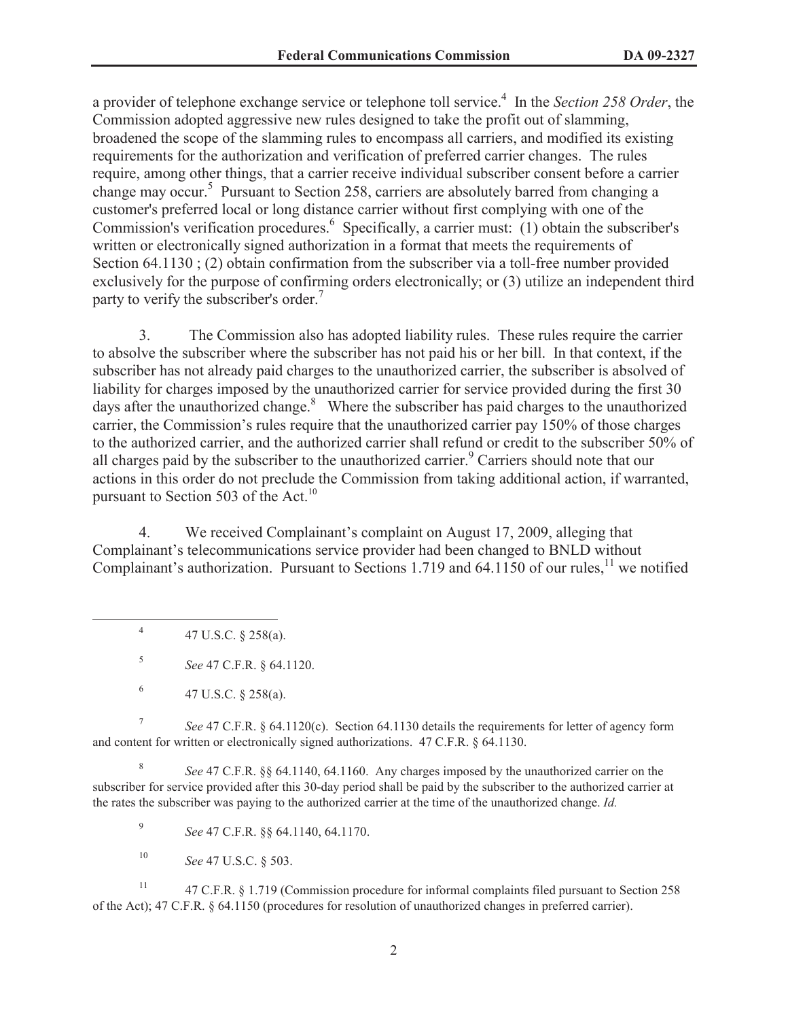a provider of telephone exchange service or telephone toll service.<sup>4</sup> In the *Section 258 Order*, the Commission adopted aggressive new rules designed to take the profit out of slamming, broadened the scope of the slamming rules to encompass all carriers, and modified its existing requirements for the authorization and verification of preferred carrier changes. The rules require, among other things, that a carrier receive individual subscriber consent before a carrier change may occur.<sup>5</sup> Pursuant to Section 258, carriers are absolutely barred from changing a customer's preferred local or long distance carrier without first complying with one of the Commission's verification procedures.<sup>6</sup> Specifically, a carrier must: (1) obtain the subscriber's written or electronically signed authorization in a format that meets the requirements of Section 64.1130 ; (2) obtain confirmation from the subscriber via a toll-free number provided exclusively for the purpose of confirming orders electronically; or (3) utilize an independent third party to verify the subscriber's order.<sup>7</sup>

3. The Commission also has adopted liability rules. These rules require the carrier to absolve the subscriber where the subscriber has not paid his or her bill. In that context, if the subscriber has not already paid charges to the unauthorized carrier, the subscriber is absolved of liability for charges imposed by the unauthorized carrier for service provided during the first 30 days after the unauthorized change. $8\text{ }$  Where the subscriber has paid charges to the unauthorized carrier, the Commission's rules require that the unauthorized carrier pay 150% of those charges to the authorized carrier, and the authorized carrier shall refund or credit to the subscriber 50% of all charges paid by the subscriber to the unauthorized carrier.<sup>9</sup> Carriers should note that our actions in this order do not preclude the Commission from taking additional action, if warranted, pursuant to Section 503 of the Act.<sup>10</sup>

4. We received Complainant's complaint on August 17, 2009, alleging that Complainant's telecommunications service provider had been changed to BNLD without Complainant's authorization. Pursuant to Sections 1.719 and  $64.1150$  of our rules,<sup>11</sup> we notified

4 47 U.S.C. § 258(a).

5 *See* 47 C.F.R. § 64.1120.

7 *See* 47 C.F.R. § 64.1120(c). Section 64.1130 details the requirements for letter of agency form and content for written or electronically signed authorizations. 47 C.F.R. § 64.1130.

8 *See* 47 C.F.R. §§ 64.1140, 64.1160. Any charges imposed by the unauthorized carrier on the subscriber for service provided after this 30-day period shall be paid by the subscriber to the authorized carrier at the rates the subscriber was paying to the authorized carrier at the time of the unauthorized change. *Id.*

9 *See* 47 C.F.R. §§ 64.1140, 64.1170.

<sup>10</sup> *See* 47 U.S.C. § 503.

<sup>11</sup> 47 C.F.R. § 1.719 (Commission procedure for informal complaints filed pursuant to Section 258 of the Act); 47 C.F.R. § 64.1150 (procedures for resolution of unauthorized changes in preferred carrier).

<sup>6</sup> 47 U.S.C. § 258(a).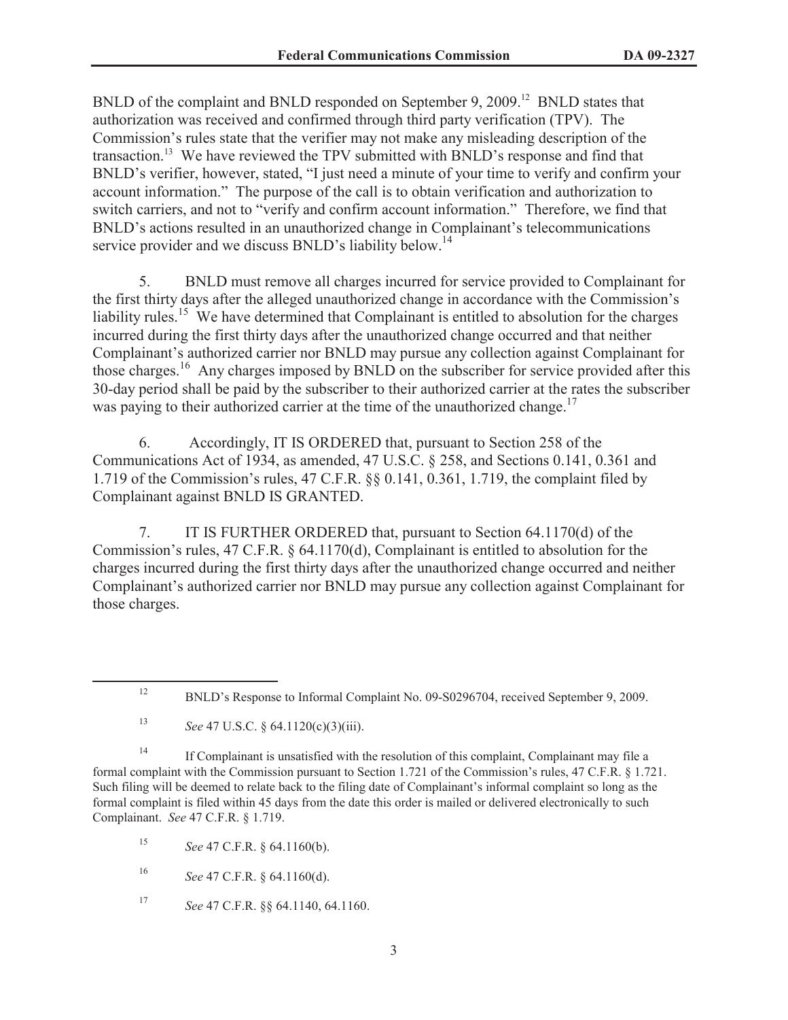BNLD of the complaint and BNLD responded on September 9, 2009.<sup>12</sup> BNLD states that authorization was received and confirmed through third party verification (TPV). The Commission's rules state that the verifier may not make any misleading description of the transaction.<sup>13</sup> We have reviewed the TPV submitted with BNLD's response and find that BNLD's verifier, however, stated, "I just need a minute of your time to verify and confirm your account information." The purpose of the call is to obtain verification and authorization to switch carriers, and not to "verify and confirm account information." Therefore, we find that BNLD's actions resulted in an unauthorized change in Complainant's telecommunications service provider and we discuss BNLD's liability below.<sup>14</sup>

5. BNLD must remove all charges incurred for service provided to Complainant for the first thirty days after the alleged unauthorized change in accordance with the Commission's liability rules.<sup>15</sup> We have determined that Complainant is entitled to absolution for the charges incurred during the first thirty days after the unauthorized change occurred and that neither Complainant's authorized carrier nor BNLD may pursue any collection against Complainant for those charges.<sup>16</sup> Any charges imposed by BNLD on the subscriber for service provided after this 30-day period shall be paid by the subscriber to their authorized carrier at the rates the subscriber was paying to their authorized carrier at the time of the unauthorized change.<sup>17</sup>

6. Accordingly, IT IS ORDERED that, pursuant to Section 258 of the Communications Act of 1934, as amended, 47 U.S.C. § 258, and Sections 0.141, 0.361 and 1.719 of the Commission's rules, 47 C.F.R. §§ 0.141, 0.361, 1.719, the complaint filed by Complainant against BNLD IS GRANTED.

7. IT IS FURTHER ORDERED that, pursuant to Section 64.1170(d) of the Commission's rules, 47 C.F.R. § 64.1170(d), Complainant is entitled to absolution for the charges incurred during the first thirty days after the unauthorized change occurred and neither Complainant's authorized carrier nor BNLD may pursue any collection against Complainant for those charges.

<sup>14</sup> If Complainant is unsatisfied with the resolution of this complaint, Complainant may file a formal complaint with the Commission pursuant to Section 1.721 of the Commission's rules, 47 C.F.R. § 1.721. Such filing will be deemed to relate back to the filing date of Complainant's informal complaint so long as the formal complaint is filed within 45 days from the date this order is mailed or delivered electronically to such Complainant. *See* 47 C.F.R. § 1.719.

<sup>15</sup> *See* 47 C.F.R. § 64.1160(b).

<sup>16</sup> *See* 47 C.F.R. § 64.1160(d).

<sup>17</sup> *See* 47 C.F.R. §§ 64.1140, 64.1160.

<sup>&</sup>lt;sup>12</sup> BNLD's Response to Informal Complaint No. 09-S0296704, received September 9, 2009.

<sup>13</sup> *See* 47 U.S.C. § 64.1120(c)(3)(iii).